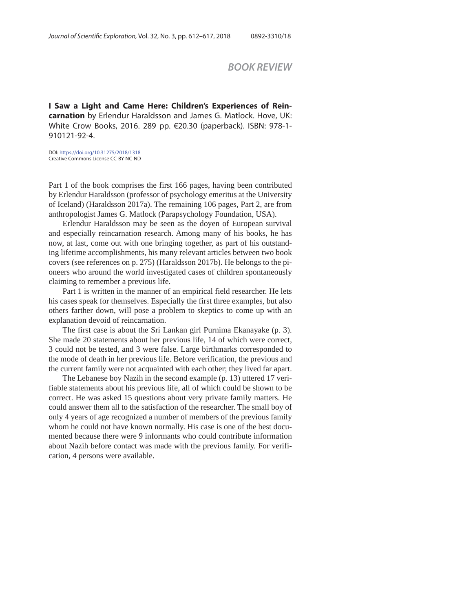## *BOOK REVIEW*

**I Saw a Light and Came Here: Children's Experiences of Reincarnation** by Erlendur Haraldsson and James G. Matlock. Hove, UK: White Crow Books, 2016. 289 pp. €20.30 (paperback). ISBN: 978-1- 910121-92-4.

DOI: https://doi.org/10.31275/2018/1318 Creative Commons License CC-BY-NC-ND

Part 1 of the book comprises the first 166 pages, having been contributed by Erlendur Haraldsson (professor of psychology emeritus at the University of Iceland) (Haraldsson 2017a). The remaining 106 pages, Part 2, are from anthropologist James G. Matlock (Parapsychology Foundation, USA).

Erlendur Haraldsson may be seen as the doyen of European survival and especially reincarnation research. Among many of his books, he has now, at last, come out with one bringing together, as part of his outstanding lifetime accomplishments, his many relevant articles between two book covers (see references on p. 275) (Haraldsson 2017b). He belongs to the pioneers who around the world investigated cases of children spontaneously claiming to remember a previous life.

Part 1 is written in the manner of an empirical field researcher. He lets his cases speak for themselves. Especially the first three examples, but also others farther down, will pose a problem to skeptics to come up with an explanation devoid of reincarnation.

The first case is about the Sri Lankan girl Purnima Ekanayake (p. 3). She made 20 statements about her previous life, 14 of which were correct, 3 could not be tested, and 3 were false. Large birthmarks corresponded to the mode of death in her previous life. Before verification, the previous and the current family were not acquainted with each other; they lived far apart.

The Lebanese boy Nazih in the second example (p. 13) uttered 17 verifiable statements about his previous life, all of which could be shown to be correct. He was asked 15 questions about very private family matters. He could answer them all to the satisfaction of the researcher. The small boy of only 4 years of age recognized a number of members of the previous family whom he could not have known normally. His case is one of the best documented because there were 9 informants who could contribute information about Nazih before contact was made with the previous family. For verification, 4 persons were available.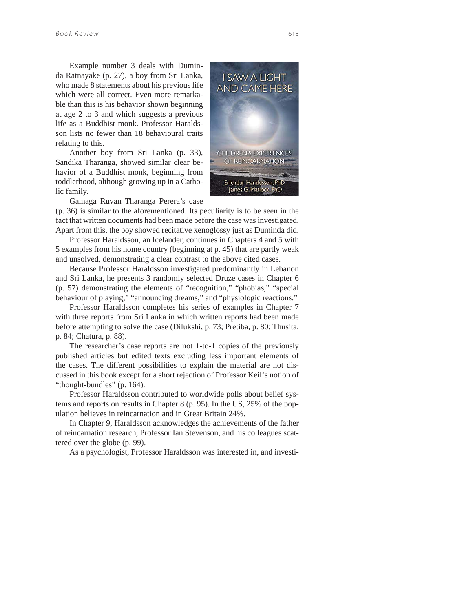Example number 3 deals with Duminda Ratnayake (p. 27), a boy from Sri Lanka, who made 8 statements about his previous life which were all correct. Even more remarkable than this is his behavior shown beginning at age 2 to 3 and which suggests a previous life as a Buddhist monk. Professor Haraldsson lists no fewer than 18 behavioural traits relating to this.

Another boy from Sri Lanka (p. 33), Sandika Tharanga, showed similar clear behavior of a Buddhist monk, beginning from toddlerhood, although growing up in a Catholic family.



Gamaga Ruvan Tharanga Perera's case

(p. 36) is similar to the aforementioned. Its peculiarity is to be seen in the fact that written documents had been made before the case was investigated. Apart from this, the boy showed recitative xenoglossy just as Duminda did.

Professor Haraldsson, an Icelander, continues in Chapters 4 and 5 with 5 examples from his home country (beginning at p. 45) that are partly weak and unsolved, demonstrating a clear contrast to the above cited cases.

Because Professor Haraldsson investigated predominantly in Lebanon and Sri Lanka, he presents 3 randomly selected Druze cases in Chapter 6 (p. 57) demonstrating the elements of "recognition," "phobias," "special behaviour of playing," "announcing dreams," and "physiologic reactions."

Professor Haraldsson completes his series of examples in Chapter 7 with three reports from Sri Lanka in which written reports had been made before attempting to solve the case (Dilukshi, p. 73; Pretiba, p. 80; Thusita, p. 84; Chatura, p. 88).

The researcher's case reports are not 1-to-1 copies of the previously published articles but edited texts excluding less important elements of the cases. The different possibilities to explain the material are not discussed in this book except for a short rejection of Professor Keil's notion of "thought-bundles" (p. 164).

Professor Haraldsson contributed to worldwide polls about belief systems and reports on results in Chapter 8 (p. 95). In the US, 25% of the population believes in reincarnation and in Great Britain 24%.

In Chapter 9, Haraldsson acknowledges the achievements of the father of reincarnation research, Professor Ian Stevenson, and his colleagues scattered over the globe (p. 99).

As a psychologist, Professor Haraldsson was interested in, and investi-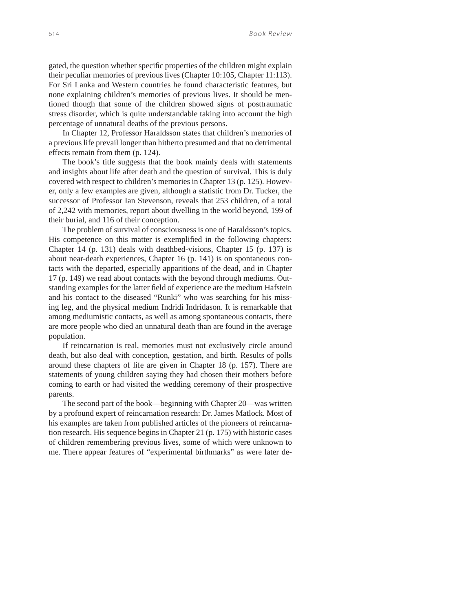gated, the question whether specific properties of the children might explain their peculiar memories of previous lives (Chapter 10:105, Chapter 11:113). For Sri Lanka and Western countries he found characteristic features, but none explaining children's memories of previous lives. It should be mentioned though that some of the children showed signs of posttraumatic stress disorder, which is quite understandable taking into account the high percentage of unnatural deaths of the previous persons.

In Chapter 12, Professor Haraldsson states that children's memories of a previous life prevail longer than hitherto presumed and that no detrimental effects remain from them (p. 124).

The book's title suggests that the book mainly deals with statements and insights about life after death and the question of survival. This is duly covered with respect to children's memories in Chapter 13 (p. 125). However, only a few examples are given, although a statistic from Dr. Tucker, the successor of Professor Ian Stevenson, reveals that 253 children, of a total of 2,242 with memories, report about dwelling in the world beyond, 199 of their burial, and 116 of their conception.

The problem of survival of consciousness is one of Haraldsson's topics. His competence on this matter is exemplified in the following chapters: Chapter 14 (p. 131) deals with deathbed-visions, Chapter 15 (p. 137) is about near-death experiences, Chapter 16 (p. 141) is on spontaneous contacts with the departed, especially apparitions of the dead, and in Chapter 17 (p. 149) we read about contacts with the beyond through mediums. Outstanding examples for the latter field of experience are the medium Hafstein and his contact to the diseased "Runki" who was searching for his missing leg, and the physical medium Indridi Indridason. It is remarkable that among mediumistic contacts, as well as among spontaneous contacts, there are more people who died an unnatural death than are found in the average population.

If reincarnation is real, memories must not exclusively circle around death, but also deal with conception, gestation, and birth. Results of polls around these chapters of life are given in Chapter 18 (p. 157). There are statements of young children saying they had chosen their mothers before coming to earth or had visited the wedding ceremony of their prospective parents.

The second part of the book—beginning with Chapter 20—was written by a profound expert of reincarnation research: Dr. James Matlock. Most of his examples are taken from published articles of the pioneers of reincarnation research. His sequence begins in Chapter 21 (p. 175) with historic cases of children remembering previous lives, some of which were unknown to me. There appear features of "experimental birthmarks" as were later de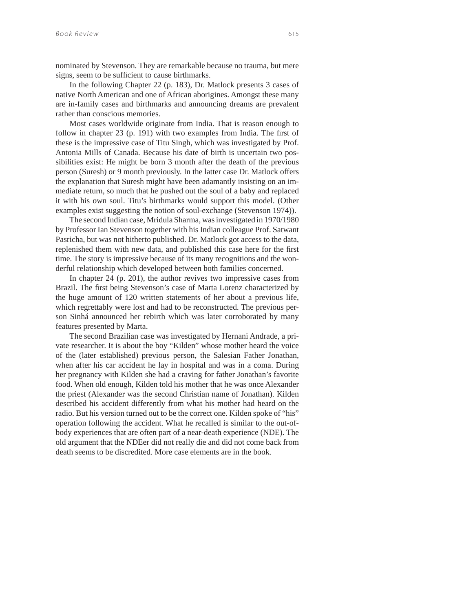nominated by Stevenson. They are remarkable because no trauma, but mere signs, seem to be sufficient to cause birthmarks.

In the following Chapter 22 (p. 183), Dr. Matlock presents 3 cases of native North American and one of African aborigines. Amongst these many are in-family cases and birthmarks and announcing dreams are prevalent rather than conscious memories.

Most cases worldwide originate from India. That is reason enough to follow in chapter  $23$  (p. 191) with two examples from India. The first of these is the impressive case of Titu Singh, which was investigated by Prof. Antonia Mills of Canada. Because his date of birth is uncertain two possibilities exist: He might be born 3 month after the death of the previous person (Suresh) or 9 month previously. In the latter case Dr. Matlock offers the explanation that Suresh might have been adamantly insisting on an immediate return, so much that he pushed out the soul of a baby and replaced it with his own soul. Titu's birthmarks would support this model. (Other examples exist suggesting the notion of soul-exchange (Stevenson 1974)).

The second Indian case, Mridula Sharma, was investigated in 1970/1980 by Professor Ian Stevenson together with his Indian colleague Prof. Satwant Pasricha, but was not hitherto published. Dr. Matlock got access to the data, replenished them with new data, and published this case here for the first time. The story is impressive because of its many recognitions and the wonderful relationship which developed between both families concerned.

In chapter 24 (p. 201), the author revives two impressive cases from Brazil. The first being Stevenson's case of Marta Lorenz characterized by the huge amount of 120 written statements of her about a previous life, which regrettably were lost and had to be reconstructed. The previous person Sinhá announced her rebirth which was later corroborated by many features presented by Marta.

The second Brazilian case was investigated by Hernani Andrade, a private researcher. It is about the boy "Kilden" whose mother heard the voice of the (later established) previous person, the Salesian Father Jonathan, when after his car accident he lay in hospital and was in a coma. During her pregnancy with Kilden she had a craving for father Jonathan's favorite food. When old enough, Kilden told his mother that he was once Alexander the priest (Alexander was the second Christian name of Jonathan). Kilden described his accident differently from what his mother had heard on the radio. But his version turned out to be the correct one. Kilden spoke of "his" operation following the accident. What he recalled is similar to the out-ofbody experiences that are often part of a near-death experience (NDE). The old argument that the NDEer did not really die and did not come back from death seems to be discredited. More case elements are in the book.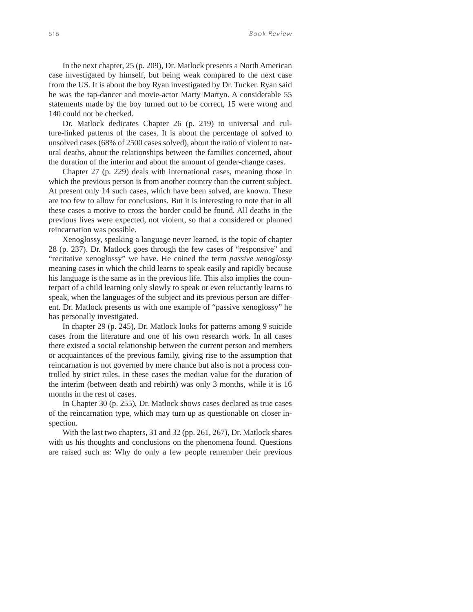In the next chapter, 25 (p. 209), Dr. Matlock presents a North American case investigated by himself, but being weak compared to the next case from the US. It is about the boy Ryan investigated by Dr. Tucker. Ryan said he was the tap-dancer and movie-actor Marty Martyn. A considerable 55 statements made by the boy turned out to be correct, 15 were wrong and 140 could not be checked.

Dr. Matlock dedicates Chapter 26 (p. 219) to universal and culture-linked patterns of the cases. It is about the percentage of solved to unsolved cases (68% of 2500 cases solved), about the ratio of violent to natural deaths, about the relationships between the families concerned, about the duration of the interim and about the amount of gender-change cases.

Chapter 27 (p. 229) deals with international cases, meaning those in which the previous person is from another country than the current subject. At present only 14 such cases, which have been solved, are known. These are too few to allow for conclusions. But it is interesting to note that in all these cases a motive to cross the border could be found. All deaths in the previous lives were expected, not violent, so that a considered or planned reincarnation was possible.

Xenoglossy, speaking a language never learned, is the topic of chapter 28 (p. 237). Dr. Matlock goes through the few cases of "responsive" and "recitative xenoglossy" we have. He coined the term *passive xenoglossy*  meaning cases in which the child learns to speak easily and rapidly because his language is the same as in the previous life. This also implies the counterpart of a child learning only slowly to speak or even reluctantly learns to speak, when the languages of the subject and its previous person are different. Dr. Matlock presents us with one example of "passive xenoglossy" he has personally investigated.

In chapter 29 (p. 245), Dr. Matlock looks for patterns among 9 suicide cases from the literature and one of his own research work. In all cases there existed a social relationship between the current person and members or acquaintances of the previous family, giving rise to the assumption that reincarnation is not governed by mere chance but also is not a process controlled by strict rules. In these cases the median value for the duration of the interim (between death and rebirth) was only 3 months, while it is 16 months in the rest of cases.

In Chapter 30 (p. 255), Dr. Matlock shows cases declared as true cases of the reincarnation type, which may turn up as questionable on closer inspection.

With the last two chapters, 31 and 32 (pp. 261, 267), Dr. Matlock shares with us his thoughts and conclusions on the phenomena found. Questions are raised such as: Why do only a few people remember their previous